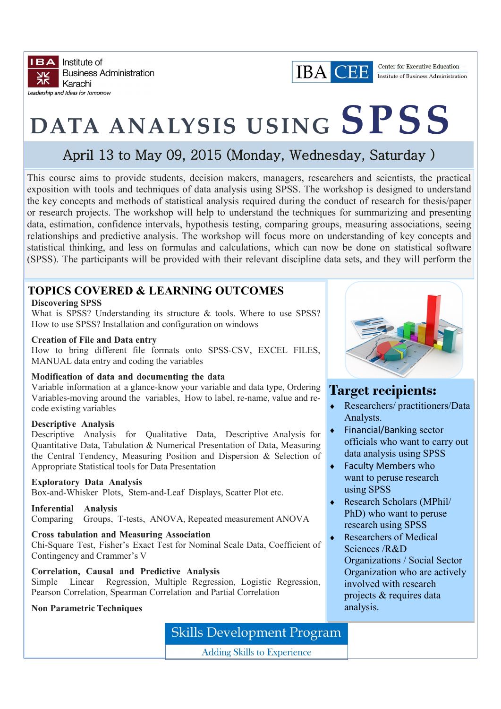

## **IBA CEE**

Center for Executive Education Institute of Business Administration

# **DATA ANALYSIS USING SPSS**

## April 13 to May 09, 2015 (Monday, Wednesday, Saturday )

This course aims to provide students, decision makers, managers, researchers and scientists, the practical exposition with tools and techniques of data analysis using SPSS. The workshop is designed to understand the key concepts and methods of statistical analysis required during the conduct of research for thesis/paper or research projects. The workshop will help to understand the techniques for summarizing and presenting data, estimation, confidence intervals, hypothesis testing, comparing groups, measuring associations, seeing relationships and predictive analysis. The workshop will focus more on understanding of key concepts and statistical thinking, and less on formulas and calculations, which can now be done on statistical software (SPSS). The participants will be provided with their relevant discipline data sets, and they will perform the

### **TOPICS COVERED & LEARNING OUTCOMES**

#### **Discovering SPSS**

What is SPSS? Understanding its structure & tools. Where to use SPSS? How to use SPSS? Installation and configuration on windows

#### **Creation of File and Data entry**

How to bring different file formats onto SPSS-CSV, EXCEL FILES, MANUAL data entry and coding the variables

#### **Modification of data and documenting the data**

Variable information at a glance-know your variable and data type, Ordering Variables-moving around the variables, How to label, re-name, value and recode existing variables

#### **Descriptive Analysis**

Descriptive Analysis for Qualitative Data, Descriptive Analysis for Quantitative Data, Tabulation & Numerical Presentation of Data, Measuring the Central Tendency, Measuring Position and Dispersion & Selection of Appropriate Statistical tools for Data Presentation

#### **Exploratory Data Analysis**

Box-and-Whisker Plots, Stem-and-Leaf Displays, Scatter Plot etc.

**Inferential Analysis**  Comparing Groups, T-tests, ANOVA, Repeated measurement ANOVA

**Cross tabulation and Measuring Association** Chi-Square Test, Fisher's Exact Test for Nominal Scale Data, Coefficient of Contingency and Crammer's V

#### **Correlation, Causal and Predictive Analysis**

Simple Linear Regression, Multiple Regression, Logistic Regression, Pearson Correlation, Spearman Correlation and Partial Correlation

#### **Non Parametric Techniques**

## **Skills Development Program**

**Adding Skills to Experience** 



## **Target recipients:**

- Researchers/ practitioners/Data Analysts.
- ◆ Financial/Banking sector officials who want to carry out data analysis using SPSS
- ◆ Faculty Members who want to peruse research using SPSS
- Research Scholars (MPhil/ PhD) who want to peruse research using SPSS
- ◆ Researchers of Medical Sciences /R&D Organizations / Social Sector Organization who are actively involved with research projects & requires data analysis.